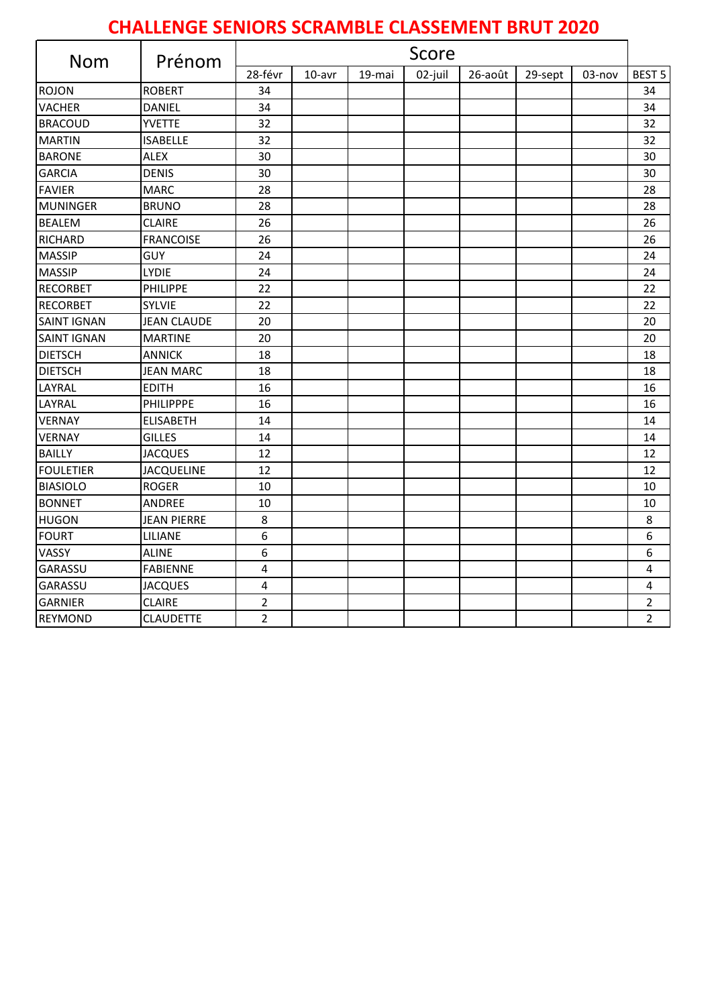## **CHALLENGE SENIORS SCRAMBLE CLASSEMENT BRUT 2020**

| Nom                | Prénom             | Score          |        |        |         |         |         |        |                |
|--------------------|--------------------|----------------|--------|--------|---------|---------|---------|--------|----------------|
|                    |                    | 28-févr        | 10-avr | 19-mai | 02-juil | 26-août | 29-sept | 03-nov | <b>BEST 5</b>  |
| <b>ROJON</b>       | <b>ROBERT</b>      | 34             |        |        |         |         |         |        | 34             |
| <b>VACHER</b>      | DANIEL             | 34             |        |        |         |         |         |        | 34             |
| <b>BRACOUD</b>     | <b>YVETTE</b>      | 32             |        |        |         |         |         |        | 32             |
| <b>MARTIN</b>      | <b>ISABELLE</b>    | 32             |        |        |         |         |         |        | 32             |
| <b>BARONE</b>      | <b>ALEX</b>        | 30             |        |        |         |         |         |        | 30             |
| <b>GARCIA</b>      | <b>DENIS</b>       | 30             |        |        |         |         |         |        | 30             |
| <b>FAVIER</b>      | <b>MARC</b>        | 28             |        |        |         |         |         |        | 28             |
| <b>MUNINGER</b>    | <b>BRUNO</b>       | 28             |        |        |         |         |         |        | 28             |
| <b>BEALEM</b>      | <b>CLAIRE</b>      | 26             |        |        |         |         |         |        | 26             |
| <b>RICHARD</b>     | <b>FRANCOISE</b>   | 26             |        |        |         |         |         |        | 26             |
| <b>MASSIP</b>      | <b>GUY</b>         | 24             |        |        |         |         |         |        | 24             |
| <b>MASSIP</b>      | LYDIE              | 24             |        |        |         |         |         |        | 24             |
| <b>RECORBET</b>    | PHILIPPE           | 22             |        |        |         |         |         |        | 22             |
| <b>RECORBET</b>    | <b>SYLVIE</b>      | 22             |        |        |         |         |         |        | 22             |
| <b>SAINT IGNAN</b> | <b>JEAN CLAUDE</b> | 20             |        |        |         |         |         |        | 20             |
| <b>SAINT IGNAN</b> | <b>MARTINE</b>     | 20             |        |        |         |         |         |        | 20             |
| <b>DIETSCH</b>     | <b>ANNICK</b>      | 18             |        |        |         |         |         |        | 18             |
| <b>DIETSCH</b>     | JEAN MARC          | 18             |        |        |         |         |         |        | 18             |
| LAYRAL             | <b>EDITH</b>       | 16             |        |        |         |         |         |        | 16             |
| LAYRAL             | PHILIPPPE          | 16             |        |        |         |         |         |        | 16             |
| <b>VERNAY</b>      | <b>ELISABETH</b>   | 14             |        |        |         |         |         |        | 14             |
| <b>VERNAY</b>      | <b>GILLES</b>      | 14             |        |        |         |         |         |        | 14             |
| <b>BAILLY</b>      | <b>JACQUES</b>     | 12             |        |        |         |         |         |        | 12             |
| <b>FOULETIER</b>   | <b>JACQUELINE</b>  | 12             |        |        |         |         |         |        | 12             |
| <b>BIASIOLO</b>    | <b>ROGER</b>       | 10             |        |        |         |         |         |        | 10             |
| <b>BONNET</b>      | <b>ANDREE</b>      | 10             |        |        |         |         |         |        | 10             |
| <b>HUGON</b>       | <b>JEAN PIERRE</b> | 8              |        |        |         |         |         |        | 8              |
| <b>FOURT</b>       | LILIANE            | 6              |        |        |         |         |         |        | 6              |
| VASSY              | <b>ALINE</b>       | 6              |        |        |         |         |         |        | 6              |
| GARASSU            | <b>FABIENNE</b>    | 4              |        |        |         |         |         |        | 4              |
| GARASSU            | <b>JACQUES</b>     | 4              |        |        |         |         |         |        | 4              |
| <b>GARNIER</b>     | <b>CLAIRE</b>      | $\overline{2}$ |        |        |         |         |         |        | $\overline{2}$ |
| <b>REYMOND</b>     | <b>CLAUDETTE</b>   | 2              |        |        |         |         |         |        | $\overline{2}$ |